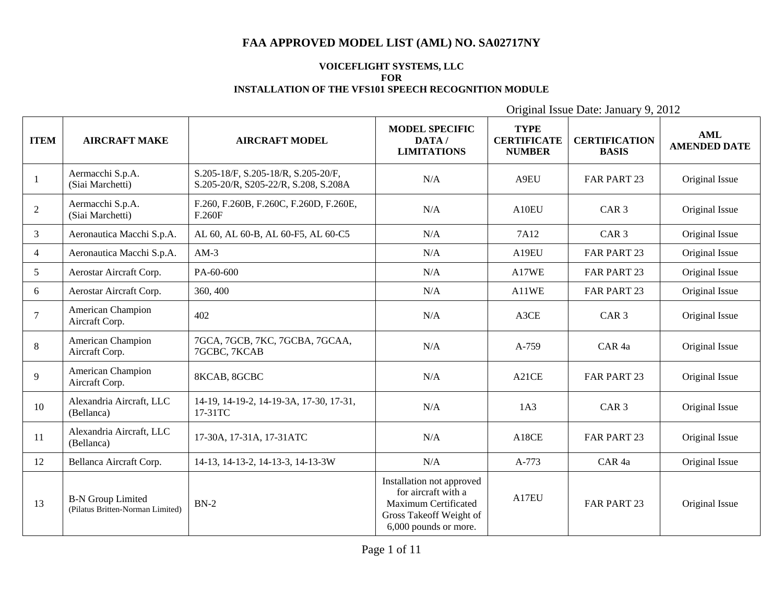#### **VOICEFLIGHT SYSTEMS, LLC FOR INSTALLATION OF THE VFS101 SPEECH RECOGNITION MODULE**

| <b>ITEM</b>    | <b>AIRCRAFT MAKE</b>                                         | <b>AIRCRAFT MODEL</b>                                                       | <b>MODEL SPECIFIC</b><br>DATA/<br><b>LIMITATIONS</b>                                                                         | <b>TYPE</b><br><b>CERTIFICATE</b><br><b>NUMBER</b> | <b>CERTIFICATION</b><br><b>BASIS</b> | <b>AML</b><br><b>AMENDED DATE</b> |
|----------------|--------------------------------------------------------------|-----------------------------------------------------------------------------|------------------------------------------------------------------------------------------------------------------------------|----------------------------------------------------|--------------------------------------|-----------------------------------|
| 1              | Aermacchi S.p.A.<br>(Siai Marchetti)                         | S.205-18/F, S.205-18/R, S.205-20/F,<br>S.205-20/R, S205-22/R, S.208, S.208A | N/A                                                                                                                          | A9EU                                               | FAR PART 23                          | Original Issue                    |
| 2              | Aermacchi S.p.A.<br>(Siai Marchetti)                         | F.260, F.260B, F.260C, F.260D, F.260E,<br>F.260F                            | N/A                                                                                                                          | A10EU                                              | CAR <sub>3</sub>                     | Original Issue                    |
| $\mathfrak{Z}$ | Aeronautica Macchi S.p.A.                                    | AL 60, AL 60-B, AL 60-F5, AL 60-C5                                          | N/A                                                                                                                          | 7A12                                               | CAR <sub>3</sub>                     | Original Issue                    |
| $\overline{4}$ | Aeronautica Macchi S.p.A.                                    | $AM-3$                                                                      | N/A                                                                                                                          | A19EU                                              | FAR PART 23                          | Original Issue                    |
| 5 <sup>5</sup> | Aerostar Aircraft Corp.                                      | PA-60-600                                                                   | N/A                                                                                                                          | A17WE                                              | FAR PART 23                          | Original Issue                    |
| 6              | Aerostar Aircraft Corp.                                      | 360, 400                                                                    | N/A                                                                                                                          | A11WE                                              | FAR PART 23                          | Original Issue                    |
| $\tau$         | American Champion<br>Aircraft Corp.                          | 402                                                                         | N/A                                                                                                                          | A3CE                                               | CAR <sub>3</sub>                     | Original Issue                    |
| 8              | <b>American Champion</b><br>Aircraft Corp.                   | 7GCA, 7GCB, 7KC, 7GCBA, 7GCAA,<br>7GCBC, 7KCAB                              | N/A                                                                                                                          | A-759                                              | CAR <sub>4a</sub>                    | Original Issue                    |
| 9              | American Champion<br>Aircraft Corp.                          | 8KCAB, 8GCBC                                                                | N/A                                                                                                                          | A21CE                                              | FAR PART 23                          | Original Issue                    |
| 10             | Alexandria Aircraft, LLC<br>(Bellanca)                       | 14-19, 14-19-2, 14-19-3A, 17-30, 17-31,<br>17-31TC                          | N/A                                                                                                                          | 1A3                                                | CAR <sub>3</sub>                     | Original Issue                    |
| 11             | Alexandria Aircraft, LLC<br>(Bellanca)                       | 17-30A, 17-31A, 17-31ATC                                                    | N/A                                                                                                                          | A18CE                                              | FAR PART 23                          | Original Issue                    |
| 12             | Bellanca Aircraft Corp.                                      | 14-13, 14-13-2, 14-13-3, 14-13-3W                                           | N/A                                                                                                                          | A-773                                              | CAR <sub>4a</sub>                    | Original Issue                    |
| 13             | <b>B-N Group Limited</b><br>(Pilatus Britten-Norman Limited) | $BN-2$                                                                      | Installation not approved<br>for aircraft with a<br>Maximum Certificated<br>Gross Takeoff Weight of<br>6,000 pounds or more. | A17E1                                              | <b>FAR PART 23</b>                   | Original Issue                    |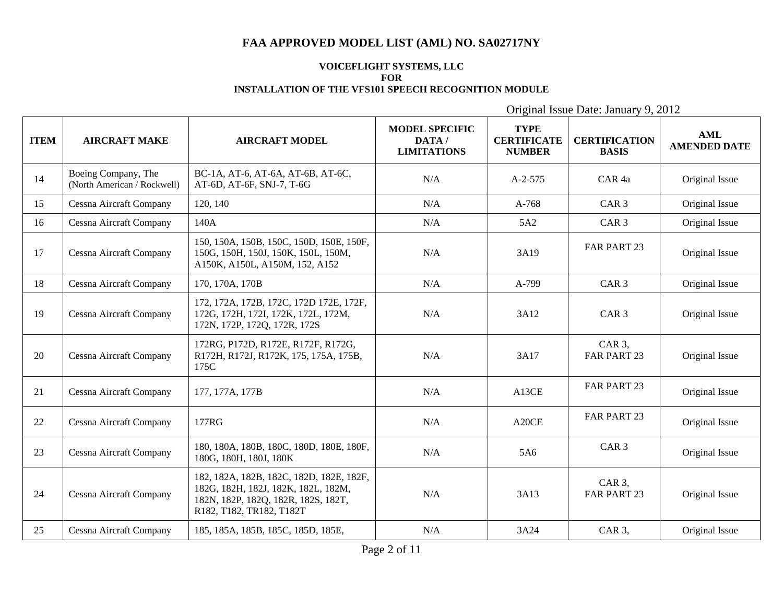#### **VOICEFLIGHT SYSTEMS, LLC FOR INSTALLATION OF THE VFS101 SPEECH RECOGNITION MODULE**

| <b>ITEM</b> | <b>AIRCRAFT MAKE</b>                               | <b>AIRCRAFT MODEL</b>                                                                                                                              | <b>MODEL SPECIFIC</b><br>DATA/<br><b>LIMITATIONS</b> | <b>TYPE</b><br><b>CERTIFICATE</b><br><b>NUMBER</b> | <b>CERTIFICATION</b><br><b>BASIS</b> | <b>AML</b><br><b>AMENDED DATE</b> |
|-------------|----------------------------------------------------|----------------------------------------------------------------------------------------------------------------------------------------------------|------------------------------------------------------|----------------------------------------------------|--------------------------------------|-----------------------------------|
| 14          | Boeing Company, The<br>(North American / Rockwell) | BC-1A, AT-6, AT-6A, AT-6B, AT-6C,<br>AT-6D, AT-6F, SNJ-7, T-6G                                                                                     | N/A                                                  | $A-2-575$                                          | CAR <sub>4a</sub>                    | Original Issue                    |
| 15          | Cessna Aircraft Company                            | 120, 140                                                                                                                                           | N/A                                                  | $A-768$                                            | CAR <sub>3</sub>                     | Original Issue                    |
| 16          | Cessna Aircraft Company                            | 140A                                                                                                                                               | N/A                                                  | 5A2                                                | CAR <sub>3</sub>                     | Original Issue                    |
| 17          | Cessna Aircraft Company                            | 150, 150A, 150B, 150C, 150D, 150E, 150F,<br>150G, 150H, 150J, 150K, 150L, 150M,<br>A150K, A150L, A150M, 152, A152                                  | N/A                                                  | 3A19                                               | FAR PART 23                          | Original Issue                    |
| 18          | Cessna Aircraft Company                            | 170, 170A, 170B                                                                                                                                    | N/A                                                  | A-799                                              | CAR <sub>3</sub>                     | Original Issue                    |
| 19          | Cessna Aircraft Company                            | 172, 172A, 172B, 172C, 172D 172E, 172F,<br>172G, 172H, 172I, 172K, 172L, 172M,<br>172N, 172P, 172Q, 172R, 172S                                     | N/A                                                  | 3A12                                               | CAR <sub>3</sub>                     | Original Issue                    |
| 20          | Cessna Aircraft Company                            | 172RG, P172D, R172E, R172F, R172G,<br>R172H, R172J, R172K, 175, 175A, 175B,<br>175C                                                                | N/A                                                  | 3A17                                               | CAR $3$ ,<br>FAR PART 23             | Original Issue                    |
| 21          | Cessna Aircraft Company                            | 177, 177A, 177B                                                                                                                                    | N/A                                                  | A13CE                                              | FAR PART 23                          | Original Issue                    |
| 22          | Cessna Aircraft Company                            | 177RG                                                                                                                                              | N/A                                                  | A20CE                                              | FAR PART 23                          | Original Issue                    |
| 23          | Cessna Aircraft Company                            | 180, 180A, 180B, 180C, 180D, 180E, 180F,<br>180G, 180H, 180J, 180K                                                                                 | N/A                                                  | 5A6                                                | CAR <sub>3</sub>                     | Original Issue                    |
| 24          | Cessna Aircraft Company                            | 182, 182A, 182B, 182C, 182D, 182E, 182F,<br>182G, 182H, 182J, 182K, 182L, 182M,<br>182N, 182P, 182Q, 182R, 182S, 182T,<br>R182, T182, TR182, T182T | N/A                                                  | 3A13                                               | CAR <sub>3</sub> ,<br>FAR PART 23    | Original Issue                    |
| 25          | Cessna Aircraft Company                            | 185, 185A, 185B, 185C, 185D, 185E,                                                                                                                 | N/A                                                  | 3A24                                               | CAR <sub>3</sub> ,                   | Original Issue                    |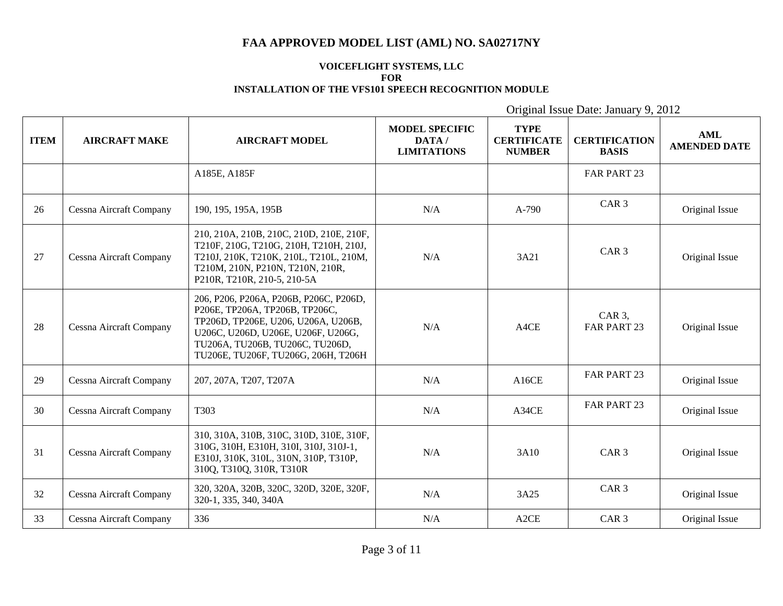#### **VOICEFLIGHT SYSTEMS, LLC FOR INSTALLATION OF THE VFS101 SPEECH RECOGNITION MODULE**

| <b>ITEM</b> | <b>AIRCRAFT MAKE</b>           | <b>AIRCRAFT MODEL</b>                                                                                                                                                                                                           | <b>MODEL SPECIFIC</b><br>DATA/<br><b>LIMITATIONS</b> | <b>TYPE</b><br><b>CERTIFICATE</b><br><b>NUMBER</b> | <b>CERTIFICATION</b><br><b>BASIS</b> | <b>AML</b><br><b>AMENDED DATE</b> |
|-------------|--------------------------------|---------------------------------------------------------------------------------------------------------------------------------------------------------------------------------------------------------------------------------|------------------------------------------------------|----------------------------------------------------|--------------------------------------|-----------------------------------|
|             |                                | A185E, A185F                                                                                                                                                                                                                    |                                                      |                                                    | FAR PART 23                          |                                   |
| 26          | Cessna Aircraft Company        | 190, 195, 195A, 195B                                                                                                                                                                                                            | N/A                                                  | $A-790$                                            | CAR <sub>3</sub>                     | Original Issue                    |
| 27          | Cessna Aircraft Company        | 210, 210A, 210B, 210C, 210D, 210E, 210F,<br>T210F, 210G, T210G, 210H, T210H, 210J,<br>T210J, 210K, T210K, 210L, T210L, 210M,<br>T210M, 210N, P210N, T210N, 210R,<br>P210R, T210R, 210-5, 210-5A                                 | N/A                                                  | 3A21                                               | CAR <sub>3</sub>                     | Original Issue                    |
| 28          | Cessna Aircraft Company        | 206, P206, P206A, P206B, P206C, P206D,<br>Р206Е, ТР206А, ТР206В, ТР206С,<br>TP206D, TP206E, U206, U206A, U206B,<br>U206C, U206D, U206E, U206F, U206G,<br>TU206A, TU206B, TU206C, TU206D,<br>TU206E, TU206F, TU206G, 206H, T206H | N/A                                                  | A4CE                                               | CAR $3$ ,<br>FAR PART 23             | Original Issue                    |
| 29          | <b>Cessna Aircraft Company</b> | 207, 207A, T207, T207A                                                                                                                                                                                                          | N/A                                                  | A16CE                                              | FAR PART 23                          | Original Issue                    |
| 30          | Cessna Aircraft Company        | T303                                                                                                                                                                                                                            | N/A                                                  | A34CE                                              | FAR PART 23                          | Original Issue                    |
| 31          | Cessna Aircraft Company        | 310, 310A, 310B, 310C, 310D, 310E, 310F,<br>310G, 310H, E310H, 310I, 310J, 310J-1,<br>E310J, 310K, 310L, 310N, 310P, T310P,<br>310Q, T310Q, 310R, T310R                                                                         | N/A                                                  | 3A10                                               | CAR <sub>3</sub>                     | Original Issue                    |
| 32          | Cessna Aircraft Company        | 320, 320A, 320B, 320C, 320D, 320E, 320F,<br>320-1, 335, 340, 340A                                                                                                                                                               | N/A                                                  | 3A25                                               | CAR <sub>3</sub>                     | Original Issue                    |
| 33          | Cessna Aircraft Company        | 336                                                                                                                                                                                                                             | N/A                                                  | A2CE                                               | CAR <sub>3</sub>                     | Original Issue                    |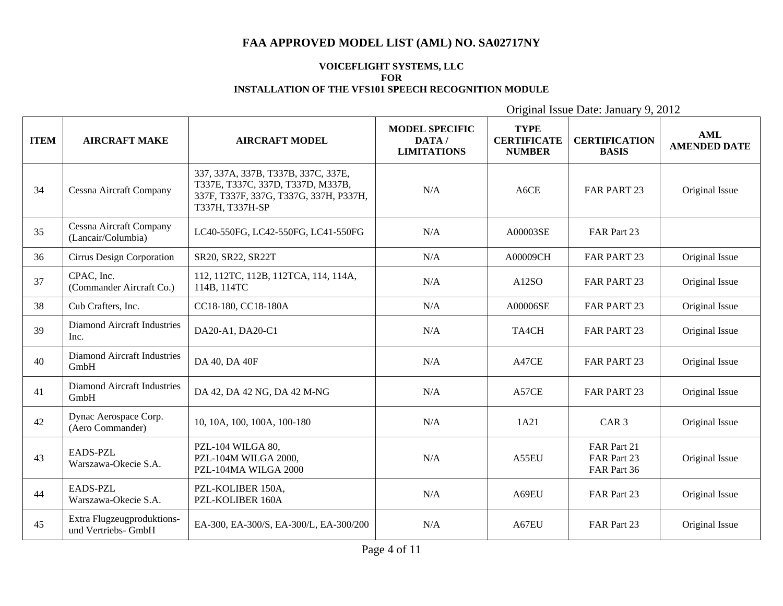#### **VOICEFLIGHT SYSTEMS, LLC FOR INSTALLATION OF THE VFS101 SPEECH RECOGNITION MODULE**

| <b>ITEM</b> | <b>AIRCRAFT MAKE</b>                              | <b>AIRCRAFT MODEL</b>                                                                                                                 | <b>MODEL SPECIFIC</b><br>DATA/<br><b>LIMITATIONS</b> | <b>TYPE</b><br><b>CERTIFICATE</b><br><b>NUMBER</b> | <b>CERTIFICATION</b><br><b>BASIS</b>      | <b>AML</b><br><b>AMENDED DATE</b> |
|-------------|---------------------------------------------------|---------------------------------------------------------------------------------------------------------------------------------------|------------------------------------------------------|----------------------------------------------------|-------------------------------------------|-----------------------------------|
| 34          | Cessna Aircraft Company                           | 337, 337A, 337B, T337B, 337C, 337E,<br>T337E, T337C, 337D, T337D, M337B,<br>337F, T337F, 337G, T337G, 337H, P337H,<br>T337H, T337H-SP | N/A                                                  | A6CE                                               | FAR PART 23                               | Original Issue                    |
| 35          | Cessna Aircraft Company<br>(Lancair/Columbia)     | LC40-550FG, LC42-550FG, LC41-550FG                                                                                                    | N/A                                                  | A00003SE                                           | FAR Part 23                               |                                   |
| 36          | Cirrus Design Corporation                         | SR20, SR22, SR22T                                                                                                                     | N/A                                                  | A00009CH                                           | FAR PART 23                               | Original Issue                    |
| 37          | CPAC, Inc.<br>(Commander Aircraft Co.)            | 112, 112TC, 112B, 112TCA, 114, 114A,<br>114B, 114TC                                                                                   | N/A                                                  | A12SO                                              | FAR PART 23                               | Original Issue                    |
| 38          | Cub Crafters, Inc.                                | CC18-180, CC18-180A                                                                                                                   | N/A                                                  | A00006SE                                           | <b>FAR PART 23</b>                        | Original Issue                    |
| 39          | Diamond Aircraft Industries<br>Inc.               | DA20-A1, DA20-C1                                                                                                                      | N/A                                                  | TA4CH                                              | FAR PART 23                               | Original Issue                    |
| 40          | <b>Diamond Aircraft Industries</b><br>GmbH        | DA 40, DA 40F                                                                                                                         | N/A                                                  | A47CE                                              | FAR PART 23                               | Original Issue                    |
| 41          | <b>Diamond Aircraft Industries</b><br>GmbH        | DA 42, DA 42 NG, DA 42 M-NG                                                                                                           | N/A                                                  | A57CE                                              | FAR PART 23                               | Original Issue                    |
| 42          | Dynac Aerospace Corp.<br>(Aero Commander)         | 10, 10A, 100, 100A, 100-180                                                                                                           | N/A                                                  | 1A21                                               | CAR <sub>3</sub>                          | Original Issue                    |
| 43          | EADS-PZL<br>Warszawa-Okecie S.A.                  | PZL-104 WILGA 80,<br>PZL-104M WILGA 2000,<br>PZL-104MA WILGA 2000                                                                     | N/A                                                  | A55EU                                              | FAR Part 21<br>FAR Part 23<br>FAR Part 36 | Original Issue                    |
| 44          | <b>EADS-PZL</b><br>Warszawa-Okecie S.A.           | PZL-KOLIBER 150A,<br>PZL-KOLIBER 160A                                                                                                 | N/A                                                  | A69EU                                              | FAR Part 23                               | Original Issue                    |
| 45          | Extra Flugzeugproduktions-<br>und Vertriebs- GmbH | EA-300, EA-300/S, EA-300/L, EA-300/200                                                                                                | N/A                                                  | A67EU                                              | FAR Part 23                               | Original Issue                    |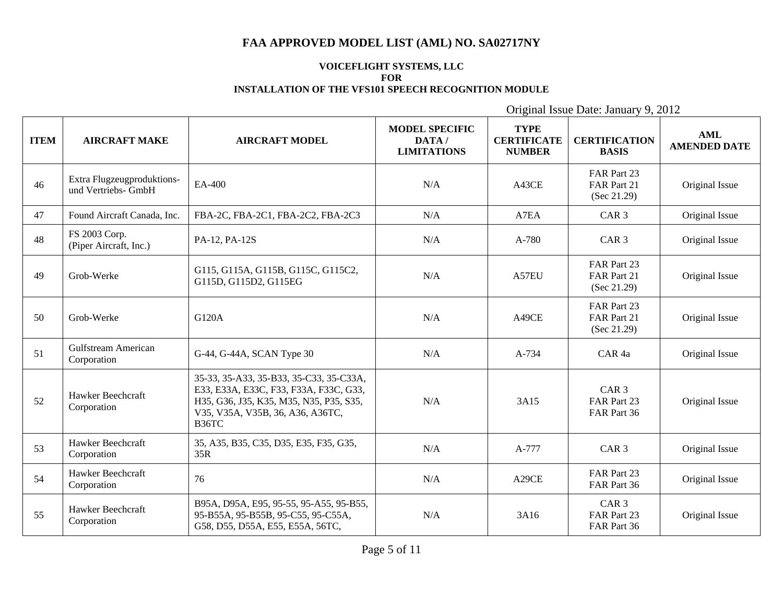#### **VOICEFLIGHT SYSTEMS, LLC FOR INSTALLATION OF THE VFS101 SPEECH RECOGNITION MODULE**

| <b>ITEM</b> | <b>AIRCRAFT MAKE</b>                              | <b>AIRCRAFT MODEL</b>                                                                                                                                                     | <b>MODEL SPECIFIC</b><br>DATA/<br><b>LIMITATIONS</b> | <b>TYPE</b><br><b>CERTIFICATE</b><br><b>NUMBER</b> | <b>CERTIFICATION</b><br><b>BASIS</b>           | <b>AML</b><br><b>AMENDED DATE</b> |
|-------------|---------------------------------------------------|---------------------------------------------------------------------------------------------------------------------------------------------------------------------------|------------------------------------------------------|----------------------------------------------------|------------------------------------------------|-----------------------------------|
| 46          | Extra Flugzeugproduktions-<br>und Vertriebs- GmbH | EA-400                                                                                                                                                                    | N/A                                                  | A43CE                                              | FAR Part 23<br>FAR Part 21<br>(Sec 21.29)      | Original Issue                    |
| 47          | Found Aircraft Canada, Inc.                       | FBA-2C, FBA-2C1, FBA-2C2, FBA-2C3                                                                                                                                         | N/A                                                  | A7EA                                               | CAR <sub>3</sub>                               | Original Issue                    |
| 48          | FS 2003 Corp.<br>(Piper Aircraft, Inc.)           | PA-12, PA-12S                                                                                                                                                             | N/A                                                  | A-780                                              | CAR <sub>3</sub>                               | Original Issue                    |
| 49          | Grob-Werke                                        | G115, G115A, G115B, G115C, G115C2,<br>G115D, G115D2, G115EG                                                                                                               | N/A                                                  | A57EU                                              | FAR Part 23<br>FAR Part 21<br>(Sec 21.29)      | Original Issue                    |
| 50          | Grob-Werke                                        | G120A                                                                                                                                                                     | N/A                                                  | A49CE                                              | FAR Part 23<br>FAR Part 21<br>(Sec 21.29)      | Original Issue                    |
| 51          | Gulfstream American<br>Corporation                | G-44, G-44A, SCAN Type 30                                                                                                                                                 | N/A                                                  | A-734                                              | CAR <sub>4a</sub>                              | Original Issue                    |
| 52          | Hawker Beechcraft<br>Corporation                  | 35-33, 35-A33, 35-B33, 35-C33, 35-C33A,<br>E33, E33A, E33C, F33, F33A, F33C, G33,<br>H35, G36, J35, K35, M35, N35, P35, S35,<br>V35, V35A, V35B, 36, A36, A36TC,<br>B36TC | N/A                                                  | 3A15                                               | CAR <sub>3</sub><br>FAR Part 23<br>FAR Part 36 | Original Issue                    |
| 53          | Hawker Beechcraft<br>Corporation                  | 35, A35, B35, C35, D35, E35, F35, G35,<br>35R                                                                                                                             | N/A                                                  | A-777                                              | CAR <sub>3</sub>                               | Original Issue                    |
| 54          | Hawker Beechcraft<br>Corporation                  | 76                                                                                                                                                                        | N/A                                                  | A29CE                                              | FAR Part 23<br>FAR Part 36                     | Original Issue                    |
| 55          | Hawker Beechcraft<br>Corporation                  | B95A, D95A, E95, 95-55, 95-A55, 95-B55,<br>95-B55A, 95-B55B, 95-C55, 95-C55A,<br>G58, D55, D55A, E55, E55A, 56TC,                                                         | N/A                                                  | 3A16                                               | CAR <sub>3</sub><br>FAR Part 23<br>FAR Part 36 | Original Issue                    |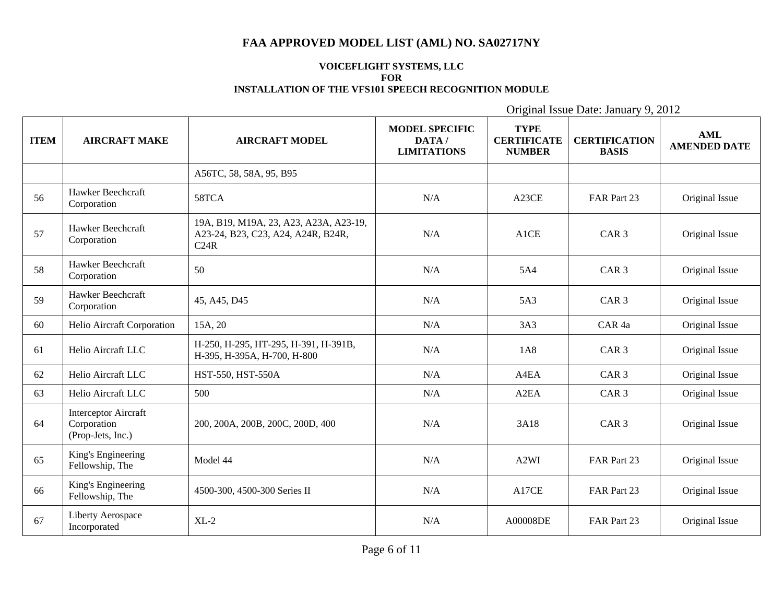#### **VOICEFLIGHT SYSTEMS, LLC FOR INSTALLATION OF THE VFS101 SPEECH RECOGNITION MODULE**

| <b>ITEM</b> | <b>AIRCRAFT MAKE</b>                                            | <b>AIRCRAFT MODEL</b>                                                                | <b>MODEL SPECIFIC</b><br>DATA/<br><b>LIMITATIONS</b> | <b>TYPE</b><br><b>CERTIFICATE</b><br><b>NUMBER</b> | <b>CERTIFICATION</b><br><b>BASIS</b> | <b>AML</b><br><b>AMENDED DATE</b> |
|-------------|-----------------------------------------------------------------|--------------------------------------------------------------------------------------|------------------------------------------------------|----------------------------------------------------|--------------------------------------|-----------------------------------|
|             |                                                                 | A56TC, 58, 58A, 95, B95                                                              |                                                      |                                                    |                                      |                                   |
| 56          | Hawker Beechcraft<br>Corporation                                | 58TCA                                                                                | N/A                                                  | A23CE                                              | FAR Part 23                          | Original Issue                    |
| 57          | Hawker Beechcraft<br>Corporation                                | 19A, B19, M19A, 23, A23, A23A, A23-19,<br>A23-24, B23, C23, A24, A24R, B24R,<br>C24R | N/A                                                  | A1CE                                               | CAR <sub>3</sub>                     | Original Issue                    |
| 58          | Hawker Beechcraft<br>Corporation                                | 50                                                                                   | N/A                                                  | 5A4                                                | CAR <sub>3</sub>                     | Original Issue                    |
| 59          | Hawker Beechcraft<br>Corporation                                | 45, A45, D45                                                                         | N/A                                                  | 5A3                                                | CAR <sub>3</sub>                     | Original Issue                    |
| 60          | Helio Aircraft Corporation                                      | 15A, 20                                                                              | N/A                                                  | 3A3                                                | CAR <sub>4a</sub>                    | Original Issue                    |
| 61          | Helio Aircraft LLC                                              | H-250, H-295, HT-295, H-391, H-391B,<br>H-395, H-395A, H-700, H-800                  | N/A                                                  | 1A8                                                | CAR <sub>3</sub>                     | Original Issue                    |
| 62          | Helio Aircraft LLC                                              | HST-550, HST-550A                                                                    | N/A                                                  | A4EA                                               | CAR <sub>3</sub>                     | Original Issue                    |
| 63          | Helio Aircraft LLC                                              | 500                                                                                  | N/A                                                  | A <sub>2</sub> EA                                  | CAR <sub>3</sub>                     | Original Issue                    |
| 64          | <b>Interceptor Aircraft</b><br>Corporation<br>(Prop-Jets, Inc.) | 200, 200A, 200B, 200C, 200D, 400                                                     | N/A                                                  | 3A18                                               | CAR <sub>3</sub>                     | Original Issue                    |
| 65          | King's Engineering<br>Fellowship, The                           | Model 44                                                                             | N/A                                                  | A <sub>2</sub> WI                                  | FAR Part 23                          | Original Issue                    |
| 66          | King's Engineering<br>Fellowship, The                           | 4500-300, 4500-300 Series II                                                         | N/A                                                  | A17CE                                              | FAR Part 23                          | Original Issue                    |
| 67          | Liberty Aerospace<br>Incorporated                               | $XL-2$                                                                               | N/A                                                  | A00008DE                                           | FAR Part 23                          | Original Issue                    |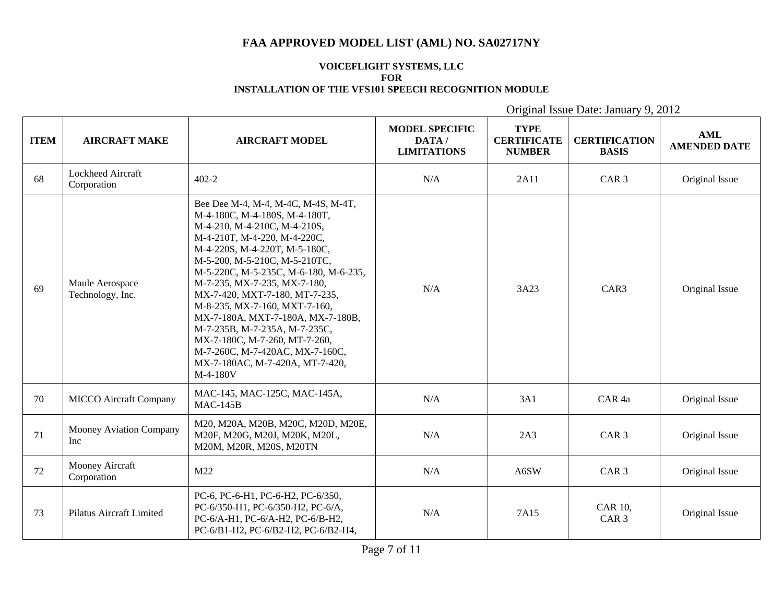#### **VOICEFLIGHT SYSTEMS, LLC FOR INSTALLATION OF THE VFS101 SPEECH RECOGNITION MODULE**

| <b>ITEM</b> | <b>AIRCRAFT MAKE</b>                  | <b>AIRCRAFT MODEL</b>                                                                                                                                                                                                                                                                                                                                                                                                                                                                                                                       | <b>MODEL SPECIFIC</b><br>DATA/<br><b>LIMITATIONS</b> | <b>TYPE</b><br><b>CERTIFICATE</b><br><b>NUMBER</b> | <b>CERTIFICATION</b><br><b>BASIS</b> | <b>AML</b><br><b>AMENDED DATE</b> |
|-------------|---------------------------------------|---------------------------------------------------------------------------------------------------------------------------------------------------------------------------------------------------------------------------------------------------------------------------------------------------------------------------------------------------------------------------------------------------------------------------------------------------------------------------------------------------------------------------------------------|------------------------------------------------------|----------------------------------------------------|--------------------------------------|-----------------------------------|
| 68          | Lockheed Aircraft<br>Corporation      | $402 - 2$                                                                                                                                                                                                                                                                                                                                                                                                                                                                                                                                   | N/A                                                  | 2A11                                               | CAR <sub>3</sub>                     | Original Issue                    |
| 69          | Maule Aerospace<br>Technology, Inc.   | Bee Dee M-4, M-4, M-4C, M-4S, M-4T,<br>M-4-180C, M-4-180S, M-4-180T,<br>M-4-210, M-4-210C, M-4-210S,<br>M-4-210T, M-4-220, M-4-220C,<br>M-4-220S, M-4-220T, M-5-180C,<br>M-5-200, M-5-210C, M-5-210TC,<br>M-5-220C, M-5-235C, M-6-180, M-6-235,<br>M-7-235, MX-7-235, MX-7-180,<br>MX-7-420, MXT-7-180, MT-7-235,<br>M-8-235, MX-7-160, MXT-7-160,<br>MX-7-180A, MXT-7-180A, MX-7-180B,<br>M-7-235B, M-7-235A, M-7-235C,<br>MX-7-180C, M-7-260, MT-7-260,<br>M-7-260C, M-7-420AC, MX-7-160C,<br>MX-7-180AC, M-7-420A, MT-7-420,<br>M-4-180V | N/A                                                  | 3A23                                               | CAR3                                 | Original Issue                    |
| 70          | <b>MICCO</b> Aircraft Company         | MAC-145, MAC-125C, MAC-145A,<br>$MAC-145B$                                                                                                                                                                                                                                                                                                                                                                                                                                                                                                  | N/A                                                  | 3A1                                                | CAR <sub>4a</sub>                    | Original Issue                    |
| 71          | Mooney Aviation Company<br>Inc        | M20, M20A, M20B, M20C, M20D, M20E,<br>M20F, M20G, M20J, M20K, M20L,<br>M20M, M20R, M20S, M20TN                                                                                                                                                                                                                                                                                                                                                                                                                                              | N/A                                                  | 2A3                                                | CAR <sub>3</sub>                     | Original Issue                    |
| 72          | <b>Mooney Aircraft</b><br>Corporation | M22                                                                                                                                                                                                                                                                                                                                                                                                                                                                                                                                         | N/A                                                  | A6SW                                               | CAR <sub>3</sub>                     | Original Issue                    |
| 73          | Pilatus Aircraft Limited              | PC-6, PC-6-H1, PC-6-H2, PC-6/350,<br>PC-6/350-H1, PC-6/350-H2, PC-6/A,<br>PC-6/A-H1, PC-6/A-H2, PC-6/B-H2,<br>PC-6/B1-H2, PC-6/B2-H2, PC-6/B2-H4,                                                                                                                                                                                                                                                                                                                                                                                           | N/A                                                  | 7A15                                               | <b>CAR 10,</b><br>CAR <sub>3</sub>   | Original Issue                    |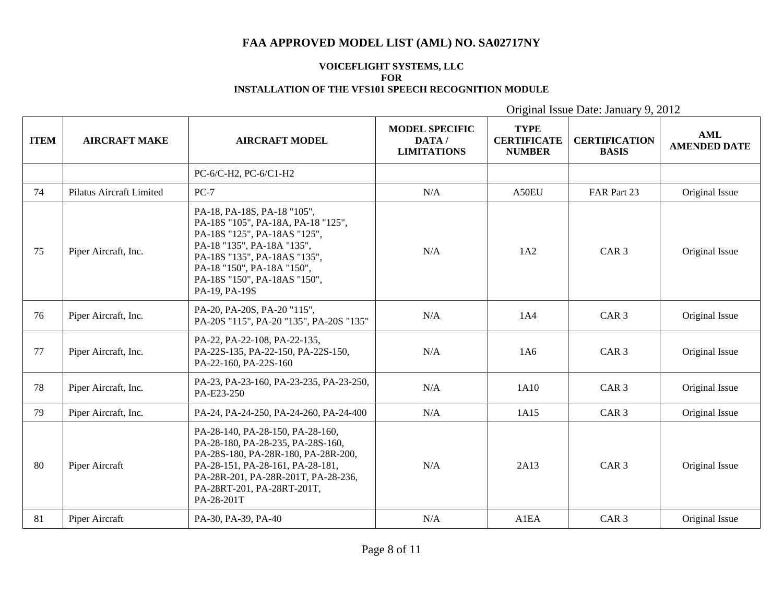#### **VOICEFLIGHT SYSTEMS, LLC FOR INSTALLATION OF THE VFS101 SPEECH RECOGNITION MODULE**

| <b>ITEM</b> | <b>AIRCRAFT MAKE</b>     | <b>AIRCRAFT MODEL</b>                                                                                                                                                                                                                          | <b>MODEL SPECIFIC</b><br>DATA/<br><b>LIMITATIONS</b> | <b>TYPE</b><br><b>CERTIFICATE</b><br><b>NUMBER</b> | <b>CERTIFICATION</b><br><b>BASIS</b> | <b>AML</b><br><b>AMENDED DATE</b> |
|-------------|--------------------------|------------------------------------------------------------------------------------------------------------------------------------------------------------------------------------------------------------------------------------------------|------------------------------------------------------|----------------------------------------------------|--------------------------------------|-----------------------------------|
|             |                          | PC-6/C-H2, PC-6/C1-H2                                                                                                                                                                                                                          |                                                      |                                                    |                                      |                                   |
| 74          | Pilatus Aircraft Limited | $PC-7$                                                                                                                                                                                                                                         | N/A                                                  | A50EU                                              | FAR Part 23                          | Original Issue                    |
| 75          | Piper Aircraft, Inc.     | PA-18, PA-18S, PA-18 "105",<br>PA-18S "105", PA-18A, PA-18 "125",<br>PA-18S "125", PA-18AS "125",<br>PA-18 "135", PA-18A "135",<br>PA-18S "135", PA-18AS "135",<br>PA-18 "150", PA-18A "150",<br>PA-18S "150", PA-18AS "150",<br>PA-19, PA-19S | N/A                                                  | 1A2                                                | CAR <sub>3</sub>                     | Original Issue                    |
| 76          | Piper Aircraft, Inc.     | PA-20, PA-20S, PA-20"115",<br>PA-20S "115", PA-20 "135", PA-20S "135"                                                                                                                                                                          | N/A                                                  | 1A4                                                | CAR <sub>3</sub>                     | Original Issue                    |
| 77          | Piper Aircraft, Inc.     | PA-22, PA-22-108, PA-22-135,<br>PA-22S-135, PA-22-150, PA-22S-150,<br>PA-22-160, PA-22S-160                                                                                                                                                    | N/A                                                  | 1A6                                                | CAR <sub>3</sub>                     | Original Issue                    |
| 78          | Piper Aircraft, Inc.     | PA-23, PA-23-160, PA-23-235, PA-23-250,<br>PA-E23-250                                                                                                                                                                                          | N/A                                                  | 1A10                                               | CAR <sub>3</sub>                     | Original Issue                    |
| 79          | Piper Aircraft, Inc.     | PA-24, PA-24-250, PA-24-260, PA-24-400                                                                                                                                                                                                         | N/A                                                  | 1A15                                               | CAR <sub>3</sub>                     | Original Issue                    |
| 80          | Piper Aircraft           | PA-28-140, PA-28-150, PA-28-160,<br>PA-28-180, PA-28-235, PA-28S-160,<br>PA-28S-180, PA-28R-180, PA-28R-200,<br>PA-28-151, PA-28-161, PA-28-181,<br>PA-28R-201, PA-28R-201T, PA-28-236,<br>PA-28RT-201, PA-28RT-201T,<br>PA-28-201T            | N/A                                                  | 2A13                                               | CAR <sub>3</sub>                     | Original Issue                    |
| 81          | Piper Aircraft           | PA-30, PA-39, PA-40                                                                                                                                                                                                                            | N/A                                                  | A1EA                                               | CAR <sub>3</sub>                     | Original Issue                    |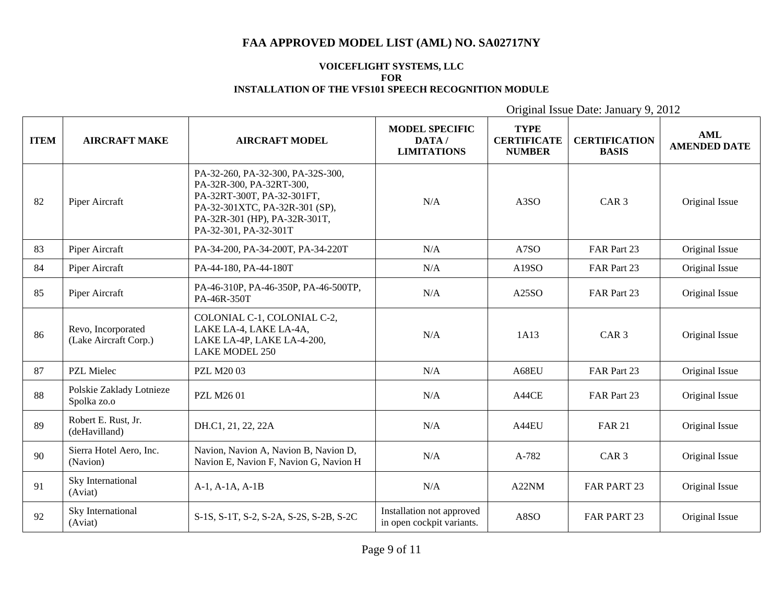### **VOICEFLIGHT SYSTEMS, LLC FOR INSTALLATION OF THE VFS101 SPEECH RECOGNITION MODULE**

| <b>ITEM</b> | <b>AIRCRAFT MAKE</b>                        | <b>AIRCRAFT MODEL</b>                                                                                                                                                                   | <b>MODEL SPECIFIC</b><br>DATA/<br><b>LIMITATIONS</b>   | <b>TYPE</b><br><b>CERTIFICATE</b><br><b>NUMBER</b> | <b>CERTIFICATION</b><br><b>BASIS</b> | <b>AML</b><br><b>AMENDED DATE</b> |
|-------------|---------------------------------------------|-----------------------------------------------------------------------------------------------------------------------------------------------------------------------------------------|--------------------------------------------------------|----------------------------------------------------|--------------------------------------|-----------------------------------|
| 82          | Piper Aircraft                              | PA-32-260, PA-32-300, PA-32S-300,<br>PA-32R-300, PA-32RT-300,<br>PA-32RT-300T, PA-32-301FT,<br>PA-32-301XTC, PA-32R-301 (SP),<br>PA-32R-301 (HP), PA-32R-301T,<br>PA-32-301, PA-32-301T | N/A                                                    | A <sub>3</sub> SO                                  | CAR <sub>3</sub>                     | Original Issue                    |
| 83          | Piper Aircraft                              | PA-34-200, PA-34-200T, PA-34-220T                                                                                                                                                       | N/A                                                    | A7SO                                               | FAR Part 23                          | Original Issue                    |
| 84          | Piper Aircraft                              | PA-44-180, PA-44-180T                                                                                                                                                                   | N/A                                                    | A19SO                                              | FAR Part 23                          | Original Issue                    |
| 85          | Piper Aircraft                              | PA-46-310P, PA-46-350P, PA-46-500TP,<br>PA-46R-350T                                                                                                                                     | N/A                                                    | A25SO                                              | FAR Part 23                          | Original Issue                    |
| 86          | Revo, Incorporated<br>(Lake Aircraft Corp.) | COLONIAL C-1, COLONIAL C-2,<br>LAKE LA-4, LAKE LA-4A,<br>LAKE LA-4P, LAKE LA-4-200,<br><b>LAKE MODEL 250</b>                                                                            | N/A                                                    | 1A13                                               | CAR <sub>3</sub>                     | Original Issue                    |
| 87          | PZL Mielec                                  | <b>PZL M2003</b>                                                                                                                                                                        | N/A                                                    | A68EU                                              | FAR Part 23                          | Original Issue                    |
| 88          | Polskie Zaklady Lotnieze<br>Spolka zo.o     | <b>PZL M2601</b>                                                                                                                                                                        | N/A                                                    | A44CE                                              | FAR Part 23                          | Original Issue                    |
| 89          | Robert E. Rust, Jr.<br>(deHavilland)        | DH.C1, 21, 22, 22A                                                                                                                                                                      | N/A                                                    | A44EU                                              | <b>FAR 21</b>                        | Original Issue                    |
| 90          | Sierra Hotel Aero, Inc.<br>(Navion)         | Navion, Navion A, Navion B, Navion D,<br>Navion E, Navion F, Navion G, Navion H                                                                                                         | N/A                                                    | A-782                                              | CAR <sub>3</sub>                     | Original Issue                    |
| 91          | Sky International<br>(Aviat)                | $A-1, A-1A, A-1B$                                                                                                                                                                       | N/A                                                    | A22NM                                              | <b>FAR PART 23</b>                   | Original Issue                    |
| 92          | Sky International<br>(Aviat)                | S-1S, S-1T, S-2, S-2A, S-2S, S-2B, S-2C                                                                                                                                                 | Installation not approved<br>in open cockpit variants. | A8SO                                               | FAR PART 23                          | Original Issue                    |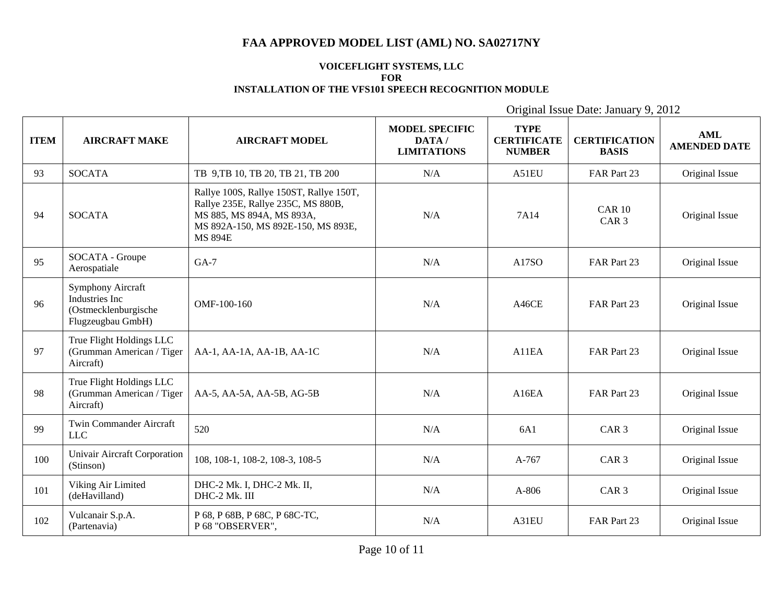### **VOICEFLIGHT SYSTEMS, LLC FOR INSTALLATION OF THE VFS101 SPEECH RECOGNITION MODULE**

| <b>ITEM</b> | <b>AIRCRAFT MAKE</b>                                                             | <b>AIRCRAFT MODEL</b>                                                                                                                                              | <b>MODEL SPECIFIC</b><br>DATA/<br><b>LIMITATIONS</b> | <b>TYPE</b><br><b>CERTIFICATE</b><br><b>NUMBER</b> | <b>CERTIFICATION</b><br><b>BASIS</b> | <b>AML</b><br><b>AMENDED DATE</b> |
|-------------|----------------------------------------------------------------------------------|--------------------------------------------------------------------------------------------------------------------------------------------------------------------|------------------------------------------------------|----------------------------------------------------|--------------------------------------|-----------------------------------|
| 93          | <b>SOCATA</b>                                                                    | TB 9,TB 10, TB 20, TB 21, TB 200                                                                                                                                   | N/A                                                  | A51EU                                              | FAR Part 23                          | Original Issue                    |
| 94          | <b>SOCATA</b>                                                                    | Rallye 100S, Rallye 150ST, Rallye 150T,<br>Rallye 235E, Rallye 235C, MS 880B,<br>MS 885, MS 894A, MS 893A,<br>MS 892A-150, MS 892E-150, MS 893E,<br><b>MS 894E</b> | N/A                                                  | 7A14                                               | <b>CAR 10</b><br>CAR <sub>3</sub>    | Original Issue                    |
| 95          | SOCATA - Groupe<br>Aerospatiale                                                  | $GA-7$                                                                                                                                                             | N/A                                                  | A17SO                                              | FAR Part 23                          | Original Issue                    |
| 96          | Symphony Aircraft<br>Industries Inc<br>(Ostmecklenburgische<br>Flugzeugbau GmbH) | OMF-100-160                                                                                                                                                        | N/A                                                  | A46CE                                              | FAR Part 23                          | Original Issue                    |
| 97          | True Flight Holdings LLC<br>(Grumman American / Tiger<br>Aircraft)               | AA-1, AA-1A, AA-1B, AA-1C                                                                                                                                          | N/A                                                  | A11EA                                              | FAR Part 23                          | Original Issue                    |
| 98          | True Flight Holdings LLC<br>(Grumman American / Tiger<br>Aircraft)               | AA-5, AA-5A, AA-5B, AG-5B                                                                                                                                          | N/A                                                  | A16EA                                              | FAR Part 23                          | Original Issue                    |
| 99          | Twin Commander Aircraft<br><b>LLC</b>                                            | 520                                                                                                                                                                | N/A                                                  | 6A1                                                | CAR <sub>3</sub>                     | Original Issue                    |
| 100         | Univair Aircraft Corporation<br>(Stinson)                                        | 108, 108-1, 108-2, 108-3, 108-5                                                                                                                                    | N/A                                                  | A-767                                              | CAR <sub>3</sub>                     | Original Issue                    |
| 101         | Viking Air Limited<br>(deHavilland)                                              | DHC-2 Mk. I, DHC-2 Mk. II,<br>DHC-2 Mk. III                                                                                                                        | N/A                                                  | A-806                                              | CAR <sub>3</sub>                     | Original Issue                    |
| 102         | Vulcanair S.p.A.<br>(Partenavia)                                                 | P 68, P 68B, P 68C, P 68C-TC,<br>P 68 "OBSERVER",                                                                                                                  | N/A                                                  | A31EU                                              | FAR Part 23                          | Original Issue                    |